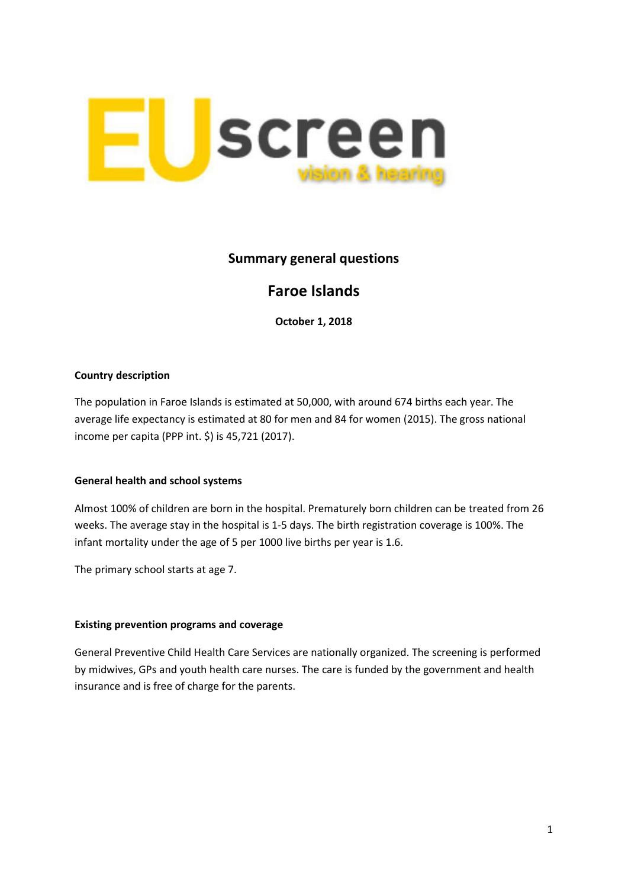

## **Summary general questions**

# **Faroe Islands**

**October 1, 2018**

### **Country description**

The population in Faroe Islands is estimated at 50,000, with around 674 births each year. The average life expectancy is estimated at 80 for men and 84 for women (2015). The gross national income per capita (PPP int. \$) is 45,721 (2017).

#### **General health and school systems**

Almost 100% of children are born in the hospital. Prematurely born children can be treated from 26 weeks. The average stay in the hospital is 1-5 days. The birth registration coverage is 100%. The infant mortality under the age of 5 per 1000 live births per year is 1.6.

The primary school starts at age 7.

#### **Existing prevention programs and coverage**

General Preventive Child Health Care Services are nationally organized. The screening is performed by midwives, GPs and youth health care nurses. The care is funded by the government and health insurance and is free of charge for the parents.